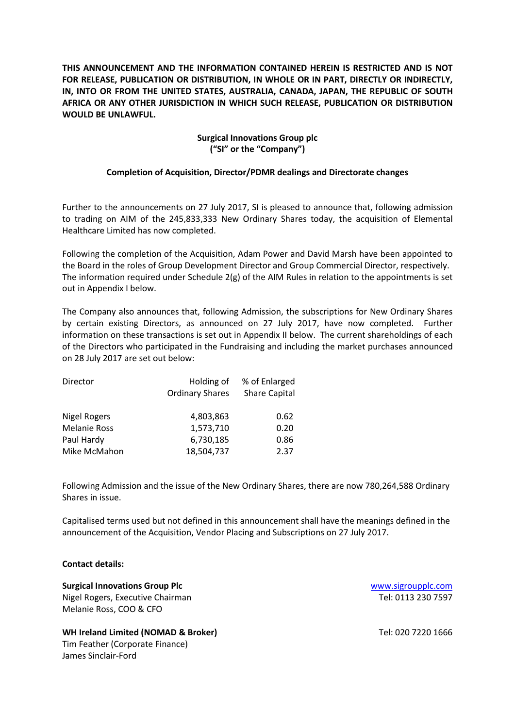**THIS ANNOUNCEMENT AND THE INFORMATION CONTAINED HEREIN IS RESTRICTED AND IS NOT FOR RELEASE, PUBLICATION OR DISTRIBUTION, IN WHOLE OR IN PART, DIRECTLY OR INDIRECTLY, IN, INTO OR FROM THE UNITED STATES, AUSTRALIA, CANADA, JAPAN, THE REPUBLIC OF SOUTH AFRICA OR ANY OTHER JURISDICTION IN WHICH SUCH RELEASE, PUBLICATION OR DISTRIBUTION WOULD BE UNLAWFUL.**

# **Surgical Innovations Group plc ("SI" or the "Company")**

### **Completion of Acquisition, Director/PDMR dealings and Directorate changes**

Further to the announcements on 27 July 2017, SI is pleased to announce that, following admission to trading on AIM of the 245,833,333 New Ordinary Shares today, the acquisition of Elemental Healthcare Limited has now completed.

Following the completion of the Acquisition, Adam Power and David Marsh have been appointed to the Board in the roles of Group Development Director and Group Commercial Director, respectively. The information required under Schedule 2(g) of the AIM Rules in relation to the appointments is set out in Appendix I below.

The Company also announces that, following Admission, the subscriptions for New Ordinary Shares by certain existing Directors, as announced on 27 July 2017, have now completed. Further information on these transactions is set out in Appendix II below. The current shareholdings of each of the Directors who participated in the Fundraising and including the market purchases announced on 28 July 2017 are set out below:

| Director            | Holding of             | % of Enlarged        |  |
|---------------------|------------------------|----------------------|--|
|                     | <b>Ordinary Shares</b> | <b>Share Capital</b> |  |
|                     |                        |                      |  |
| <b>Nigel Rogers</b> | 4,803,863              | 0.62                 |  |
| <b>Melanie Ross</b> | 1,573,710              | 0.20                 |  |
| Paul Hardy          | 6,730,185              | 0.86                 |  |
| Mike McMahon        | 18,504,737             | 2.37                 |  |

Following Admission and the issue of the New Ordinary Shares, there are now 780,264,588 Ordinary Shares in issue.

Capitalised terms used but not defined in this announcement shall have the meanings defined in the announcement of the Acquisition, Vendor Placing and Subscriptions on 27 July 2017.

## **Contact details:**

**Surgical Innovations Group Plc Community Community Community Community Community Community Community Community Community Community Community Community Community Community Community Community Community Community Communit** Nigel Rogers, Executive Chairman Tel: 0113 230 7597 Melanie Ross, COO & CFO

**WH Ireland Limited (NOMAD & Broker)** Tel: 020 7220 1666 Tim Feather (Corporate Finance) James Sinclair-Ford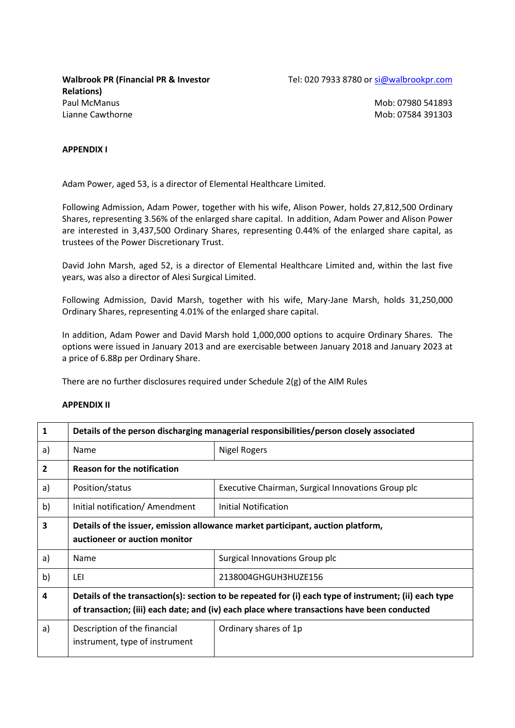**Walbrook PR (Financial PR & Investor Relations)** Paul McManus Mob: 07980 541893 Lianne Cawthorne **Mobissim Cawthorne** Mobissim Mobissim Mobissim Mobissim Mobissim Mobissim Mobissim Mobissim Mob

#### **APPENDIX I**

Adam Power, aged 53, is a director of Elemental Healthcare Limited.

Following Admission, Adam Power, together with his wife, Alison Power, holds 27,812,500 Ordinary Shares, representing 3.56% of the enlarged share capital. In addition, Adam Power and Alison Power are interested in 3,437,500 Ordinary Shares, representing 0.44% of the enlarged share capital, as trustees of the Power Discretionary Trust.

David John Marsh, aged 52, is a director of Elemental Healthcare Limited and, within the last five years, was also a director of Alesi Surgical Limited.

Following Admission, David Marsh, together with his wife, Mary-Jane Marsh, holds 31,250,000 Ordinary Shares, representing 4.01% of the enlarged share capital.

In addition, Adam Power and David Marsh hold 1,000,000 options to acquire Ordinary Shares. The options were issued in January 2013 and are exercisable between January 2018 and January 2023 at a price of 6.88p per Ordinary Share.

There are no further disclosures required under Schedule 2(g) of the AIM Rules

#### **APPENDIX II**

| $\mathbf{1}$   | Details of the person discharging managerial responsibilities/person closely associated                                                                                                              |                                                    |  |
|----------------|------------------------------------------------------------------------------------------------------------------------------------------------------------------------------------------------------|----------------------------------------------------|--|
| a)             | <b>Name</b>                                                                                                                                                                                          | <b>Nigel Rogers</b>                                |  |
| $\overline{2}$ | <b>Reason for the notification</b>                                                                                                                                                                   |                                                    |  |
| a)             | Position/status                                                                                                                                                                                      | Executive Chairman, Surgical Innovations Group plc |  |
| b)             | Initial notification/ Amendment                                                                                                                                                                      | Initial Notification                               |  |
| 3              | Details of the issuer, emission allowance market participant, auction platform,<br>auctioneer or auction monitor                                                                                     |                                                    |  |
| a)             | <b>Name</b>                                                                                                                                                                                          | Surgical Innovations Group plc                     |  |
| b)             | LEI                                                                                                                                                                                                  | 2138004GHGUH3HUZE156                               |  |
| 4              | Details of the transaction(s): section to be repeated for (i) each type of instrument; (ii) each type<br>of transaction; (iii) each date; and (iv) each place where transactions have been conducted |                                                    |  |
| a)             | Description of the financial<br>instrument, type of instrument                                                                                                                                       | Ordinary shares of 1p                              |  |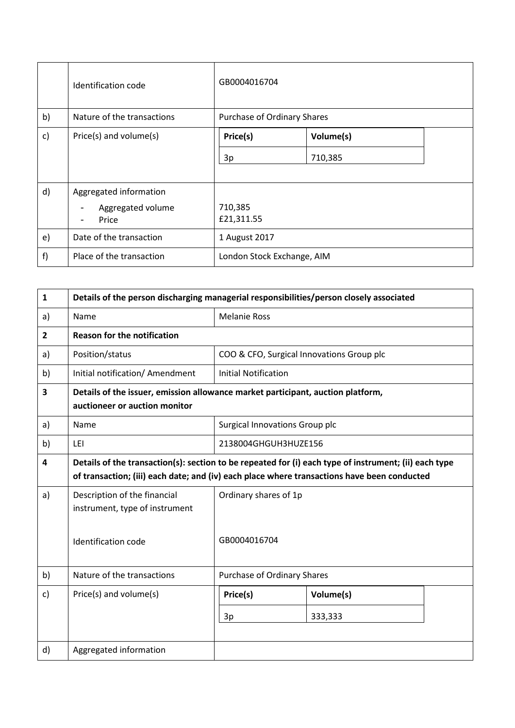|    | Identification code        | GB0004016704                |           |
|----|----------------------------|-----------------------------|-----------|
| b) | Nature of the transactions | Purchase of Ordinary Shares |           |
| c) | Price(s) and volume(s)     | Price(s)                    | Volume(s) |
|    |                            | 3p                          | 710,385   |
|    |                            |                             |           |
| d) | Aggregated information     |                             |           |
|    | Aggregated volume          | 710,385                     |           |
|    | Price                      | £21,311.55                  |           |
| e) | Date of the transaction    | 1 August 2017               |           |
| f) | Place of the transaction   | London Stock Exchange, AIM  |           |

| $\mathbf{1}$   | Details of the person discharging managerial responsibilities/person closely associated                                                                                                              |                                           |           |  |
|----------------|------------------------------------------------------------------------------------------------------------------------------------------------------------------------------------------------------|-------------------------------------------|-----------|--|
| a)             | Name                                                                                                                                                                                                 | <b>Melanie Ross</b>                       |           |  |
| $\overline{2}$ | <b>Reason for the notification</b>                                                                                                                                                                   |                                           |           |  |
| a)             | Position/status                                                                                                                                                                                      | COO & CFO, Surgical Innovations Group plc |           |  |
| b)             | Initial notification/ Amendment                                                                                                                                                                      | <b>Initial Notification</b>               |           |  |
| 3              | Details of the issuer, emission allowance market participant, auction platform,<br>auctioneer or auction monitor                                                                                     |                                           |           |  |
| a)             | Name                                                                                                                                                                                                 | Surgical Innovations Group plc            |           |  |
| b)             | LEI                                                                                                                                                                                                  | 2138004GHGUH3HUZE156                      |           |  |
| 4              | Details of the transaction(s): section to be repeated for (i) each type of instrument; (ii) each type<br>of transaction; (iii) each date; and (iv) each place where transactions have been conducted |                                           |           |  |
| a)             | Description of the financial<br>instrument, type of instrument                                                                                                                                       | Ordinary shares of 1p                     |           |  |
|                | <b>Identification code</b>                                                                                                                                                                           | GB0004016704                              |           |  |
| b)             | Nature of the transactions                                                                                                                                                                           | Purchase of Ordinary Shares               |           |  |
| c)             | Price(s) and volume(s)                                                                                                                                                                               | Price(s)                                  | Volume(s) |  |
|                |                                                                                                                                                                                                      | 3p                                        | 333,333   |  |
| d)             | Aggregated information                                                                                                                                                                               |                                           |           |  |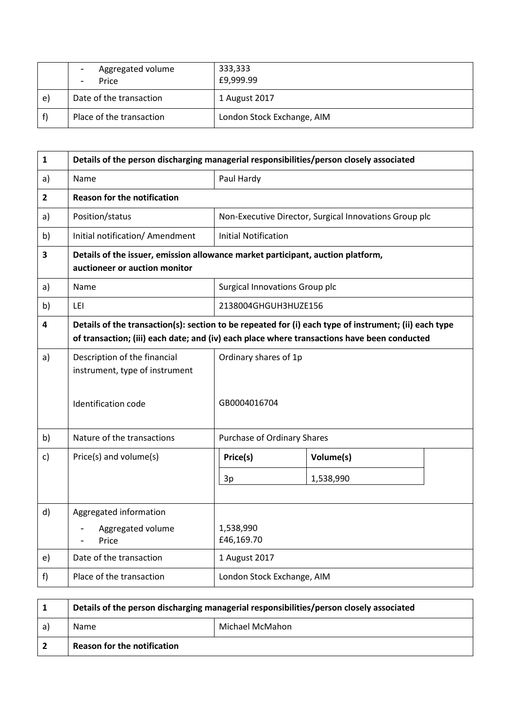|    | Aggregated volume<br>Price | 333,333<br>£9,999.99       |
|----|----------------------------|----------------------------|
| e) | Date of the transaction    | 1 August 2017              |
|    | Place of the transaction   | London Stock Exchange, AIM |

| $\mathbf{1}$   | Details of the person discharging managerial responsibilities/person closely associated                                                                                                              |                                       |                                                        |  |  |
|----------------|------------------------------------------------------------------------------------------------------------------------------------------------------------------------------------------------------|---------------------------------------|--------------------------------------------------------|--|--|
| a)             | Name                                                                                                                                                                                                 | Paul Hardy                            |                                                        |  |  |
| $\overline{2}$ | <b>Reason for the notification</b>                                                                                                                                                                   |                                       |                                                        |  |  |
| a)             | Position/status                                                                                                                                                                                      |                                       | Non-Executive Director, Surgical Innovations Group plc |  |  |
| b)             | Initial notification/ Amendment                                                                                                                                                                      | <b>Initial Notification</b>           |                                                        |  |  |
| 3              | Details of the issuer, emission allowance market participant, auction platform,<br>auctioneer or auction monitor                                                                                     |                                       |                                                        |  |  |
| a)             | Name                                                                                                                                                                                                 |                                       | Surgical Innovations Group plc                         |  |  |
| b)             | LEI                                                                                                                                                                                                  |                                       | 2138004GHGUH3HUZE156                                   |  |  |
| 4              | Details of the transaction(s): section to be repeated for (i) each type of instrument; (ii) each type<br>of transaction; (iii) each date; and (iv) each place where transactions have been conducted |                                       |                                                        |  |  |
| a)             | Description of the financial<br>instrument, type of instrument<br>Identification code                                                                                                                | Ordinary shares of 1p<br>GB0004016704 |                                                        |  |  |
|                |                                                                                                                                                                                                      |                                       |                                                        |  |  |
| b)             | Nature of the transactions                                                                                                                                                                           |                                       | <b>Purchase of Ordinary Shares</b>                     |  |  |
| c)             | Price(s) and volume(s)                                                                                                                                                                               | Price(s)                              | Volume(s)                                              |  |  |
|                |                                                                                                                                                                                                      | 3p                                    | 1,538,990                                              |  |  |
| d)             | Aggregated information                                                                                                                                                                               |                                       |                                                        |  |  |
|                | Aggregated volume<br>Price                                                                                                                                                                           | 1,538,990<br>£46,169.70               |                                                        |  |  |
| e)             | Date of the transaction                                                                                                                                                                              | 1 August 2017                         |                                                        |  |  |
| f              | Place of the transaction                                                                                                                                                                             | London Stock Exchange, AIM            |                                                        |  |  |

|    | Details of the person discharging managerial responsibilities/person closely associated |  |  |
|----|-----------------------------------------------------------------------------------------|--|--|
| a) | Michael McMahon<br>Name                                                                 |  |  |
|    | <b>Reason for the notification</b>                                                      |  |  |